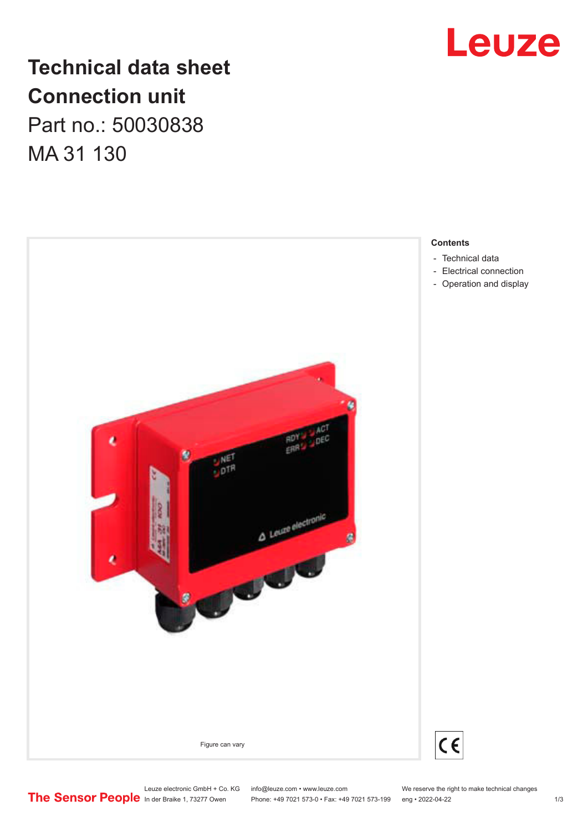

# **Technical data sheet Connection unit**

Part no.: 50030838 MA 31 130



#### **Contents**

- [Technical data](#page-1-0)
- [Electrical connection](#page-1-0)
- [Operation and display](#page-2-0)

Phone: +49 7021 573-0 • Fax: +49 7021 573-199 eng • 2022-04-22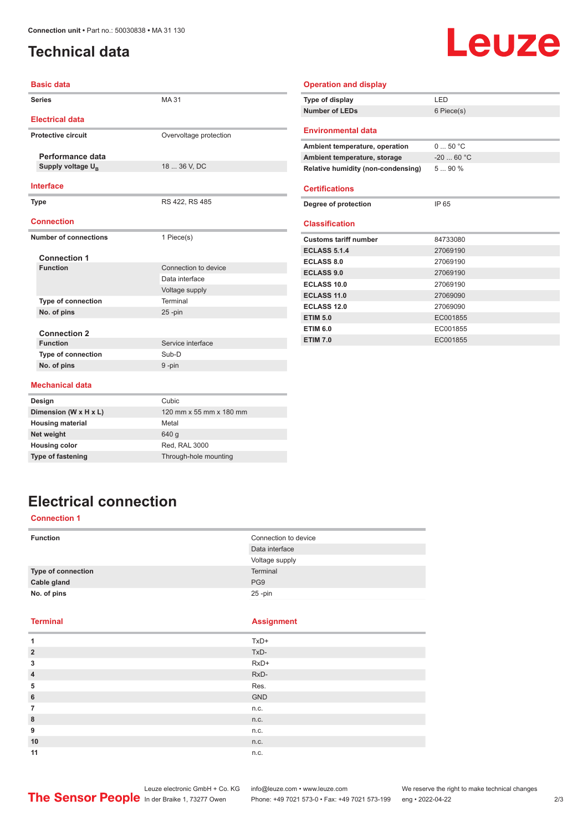### <span id="page-1-0"></span>**Technical data**

# **Leuze**

| <b>Basic data</b>             |                         | <b>Operation and display</b>       |            |
|-------------------------------|-------------------------|------------------------------------|------------|
| <b>Series</b>                 | MA 31                   | Type of display                    | LED        |
|                               |                         | <b>Number of LEDs</b>              | 6 Piece(s) |
| <b>Electrical data</b>        |                         |                                    |            |
| <b>Protective circuit</b>     | Overvoltage protection  | <b>Environmental data</b>          |            |
|                               |                         | Ambient temperature, operation     | 050 °C     |
| Performance data              |                         | Ambient temperature, storage       | $-2060 °C$ |
| Supply voltage U <sub>B</sub> | 18  36 V, DC            | Relative humidity (non-condensing) | 5  90 %    |
| <b>Interface</b>              |                         | <b>Certifications</b>              |            |
| <b>Type</b>                   | RS 422, RS 485          | Degree of protection               | IP 65      |
| <b>Connection</b>             |                         | <b>Classification</b>              |            |
| <b>Number of connections</b>  | 1 Piece(s)              | <b>Customs tariff number</b>       | 84733080   |
|                               |                         | <b>ECLASS 5.1.4</b>                | 27069190   |
| <b>Connection 1</b>           |                         | <b>ECLASS 8.0</b>                  | 27069190   |
| <b>Function</b>               | Connection to device    | <b>ECLASS 9.0</b>                  | 27069190   |
|                               | Data interface          | <b>ECLASS 10.0</b>                 | 27069190   |
|                               | Voltage supply          | <b>ECLASS 11.0</b>                 | 27069090   |
| <b>Type of connection</b>     | Terminal                | <b>ECLASS 12.0</b>                 | 27069090   |
| No. of pins                   | $25 - pin$              | <b>ETIM 5.0</b>                    | EC001855   |
| <b>Connection 2</b>           |                         | <b>ETIM 6.0</b>                    | EC001855   |
| <b>Function</b>               | Service interface       | <b>ETIM 7.0</b>                    | EC001855   |
| Type of connection            | Sub-D                   |                                    |            |
| No. of pins                   | 9-pin                   |                                    |            |
|                               |                         |                                    |            |
| <b>Mechanical data</b>        |                         |                                    |            |
| Design                        | Cubic                   |                                    |            |
| Dimension (W x H x L)         | 120 mm x 55 mm x 180 mm |                                    |            |
| <b>Housing material</b>       | Metal                   |                                    |            |
| Net weight                    | 640 g                   |                                    |            |
| <b>Housing color</b>          | Red. RAL 3000           |                                    |            |

# **Electrical connection**

**Type of fastening** Through-hole mounting

#### **Connection 1**

| <b>Function</b>    | Connection to device |
|--------------------|----------------------|
|                    | Data interface       |
|                    | Voltage supply       |
| Type of connection | Terminal             |
| Cable gland        | PG <sub>9</sub>      |
| No. of pins        | $25$ -pin            |

#### **Terminal Assignment**

| 1              | TxD+   |
|----------------|--------|
| $\overline{2}$ | TxD-   |
| 3              | RxD+   |
| $\overline{4}$ | $RxD-$ |
| 5              | Res.   |
| $6\phantom{1}$ | GND    |
| $\overline{7}$ | n.c.   |
| 8              | n.c.   |
| 9              | n.c.   |
| 10             | n.c.   |
| 11             | n.c.   |

Leuze electronic GmbH + Co. KG info@leuze.com • www.leuze.com We reserve the right to make technical changes